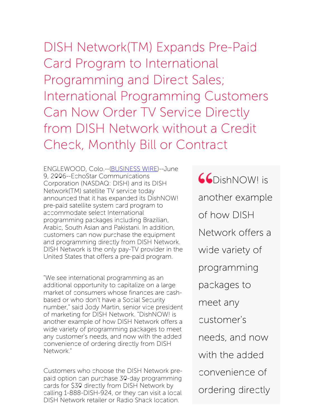DISH Network(TM) Expands Pre-Paid Card Program to International Programming and Direct Sales; International Programming Customers Can Now Order TV Service Directly from DISH Network without a Credit Check, Monthly Bill or Contract

ENGLEWOOD, Colo.--[\(BUSINESS](http://www.businesswire.com/) WIRE)--June 9, 2006--EchoStar Communications Corporation (NASDAQ: DISH) and its DISH Network(TM) satellite TV service today announced that it has expanded its DishNOW! pre-paid satellite system card program to accommodate select International programming packages including Brazilian, Arabic, South Asian and Pakistani. In addition, customers can now purchase the equipment and programming directly from DISH Network. DISH Network is the only pay-TV provider in the United States that offers a pre-paid program.

"We see international programming as an additional opportunity to capitalize on a large market of consumers whose finances are cashbased or who don't have a Social Security number," said Jody Martin, senior vice president of marketing for DISH Network. "DishNOW! is another example of how DISH Network offers a wide variety of programming packages to meet any customer's needs, and now with the added convenience of ordering directly from DISH Network."

Customers who choose the DISH Network prepaid option can purchase 30-day programming cards for \$30 directly from DISH Network by calling 1-888-DISH-924, or they can visit a local DISH Network retailer or Radio Shack location.

**CO**DishNOW! is another example of how DISH Network offers a wide variety of programming packages to meet any customer's needs, and now with the added convenience of ordering directly